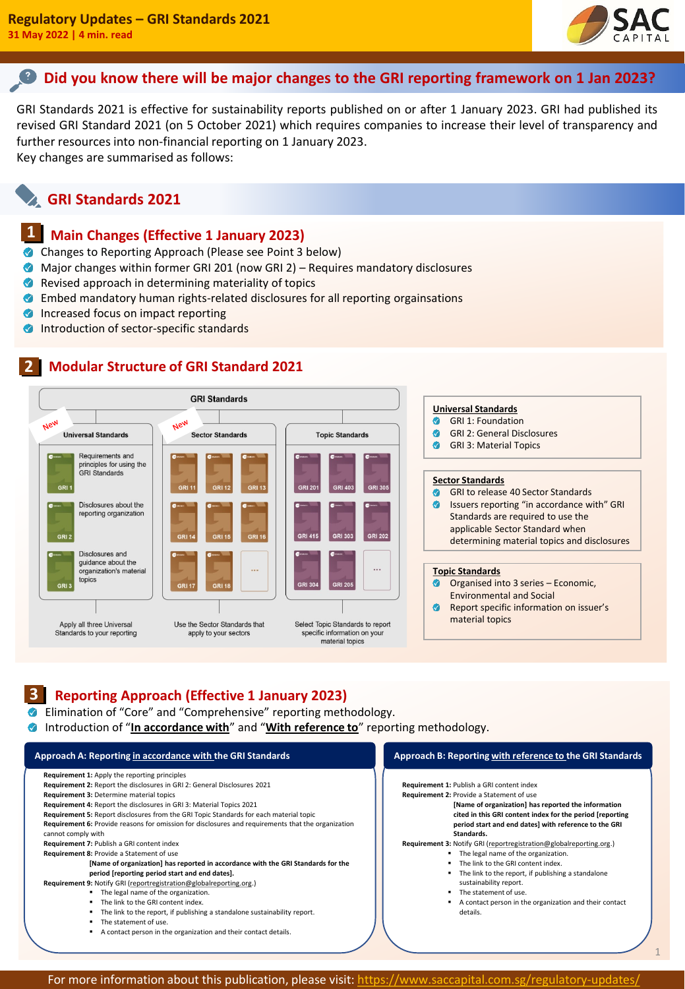

1

## **Did you know there will be major changes to the GRI reporting framework on 1 Jan 2023?**

GRI Standards 2021 is effective for sustainability reports published on or after 1 January 2023. GRI had published its revised GRI Standard 2021 (on 5 October 2021) which requires companies to increase their level of transparency and further resources into non-financial reporting on 1 January 2023. Key changes are summarised as follows:

# **GRI Standards 2021**

#### **Main Changes (Effective 1 January 2023) 11**

- **Changes to Reporting Approach (Please see Point 3 below)**
- Major changes within former GRI 201 (now GRI 2) Requires mandatory disclosures
- Revised approach in determining materiality of topics
- Embed mandatory human rights-related disclosures for all reporting orgainsations
- **Increased focus on impact reporting**
- **Introduction of sector-specific standards**

#### **Modular Structure of GRI Standard 2021 21**



#### **Reporting Approach (Effective 1 January 2023) 31**

Elimination of "Core" and "Comprehensive" reporting methodology.

**Introduction of "In accordance with"** and "**With reference to**" reporting methodology.

| Approach A: Reporting in accordance with the GRI Standards                                                                                                                                                                                                                                                                                                                                                                                                                                                                                                                                                                                                                                                                                                                                                                                                                                                                                                                                                                                                     | Approach B: Reporting with reference to the GRI Standards                                                                                                                                                                                                                                                                                                                                                                                                                                                                                                                                                                |
|----------------------------------------------------------------------------------------------------------------------------------------------------------------------------------------------------------------------------------------------------------------------------------------------------------------------------------------------------------------------------------------------------------------------------------------------------------------------------------------------------------------------------------------------------------------------------------------------------------------------------------------------------------------------------------------------------------------------------------------------------------------------------------------------------------------------------------------------------------------------------------------------------------------------------------------------------------------------------------------------------------------------------------------------------------------|--------------------------------------------------------------------------------------------------------------------------------------------------------------------------------------------------------------------------------------------------------------------------------------------------------------------------------------------------------------------------------------------------------------------------------------------------------------------------------------------------------------------------------------------------------------------------------------------------------------------------|
| Requirement 1: Apply the reporting principles<br><b>Requirement 2: Report the disclosures in GRI 2: General Disclosures 2021</b><br>Requirement 3: Determine material topics<br>Requirement 4: Report the disclosures in GRI 3: Material Topics 2021<br><b>Requirement 5:</b> Report disclosures from the GRI Topic Standards for each material topic<br>Requirement 6: Provide reasons for omission for disclosures and requirements that the organization<br>cannot comply with<br>Requirement 7: Publish a GRI content index<br>Requirement 8: Provide a Statement of use<br>[Name of organization] has reported in accordance with the GRI Standards for the<br>period (reporting period start and end dates).<br>Requirement 9: Notify GRI (reportregistration@globalreporting.org.)<br>The legal name of the organization.<br>٠<br>The link to the GRI content index.<br>٠<br>The link to the report, if publishing a standalone sustainability report.<br>The statement of use.<br>٠<br>A contact person in the organization and their contact details. | Requirement 1: Publish a GRI content index<br>Requirement 2: Provide a Statement of use<br>[Name of organization] has reported the information<br>cited in this GRI content index for the period [reporting]<br>period start and end dates] with reference to the GRI<br>Standards.<br>Requirement 3: Notify GRI (reportregistration@globalreporting.org.)<br>• The legal name of the organization.<br>The link to the GRI content index.<br>The link to the report, if publishing a standalone<br>sustainability report.<br>The statement of use.<br>A contact person in the organization and their contact<br>details. |